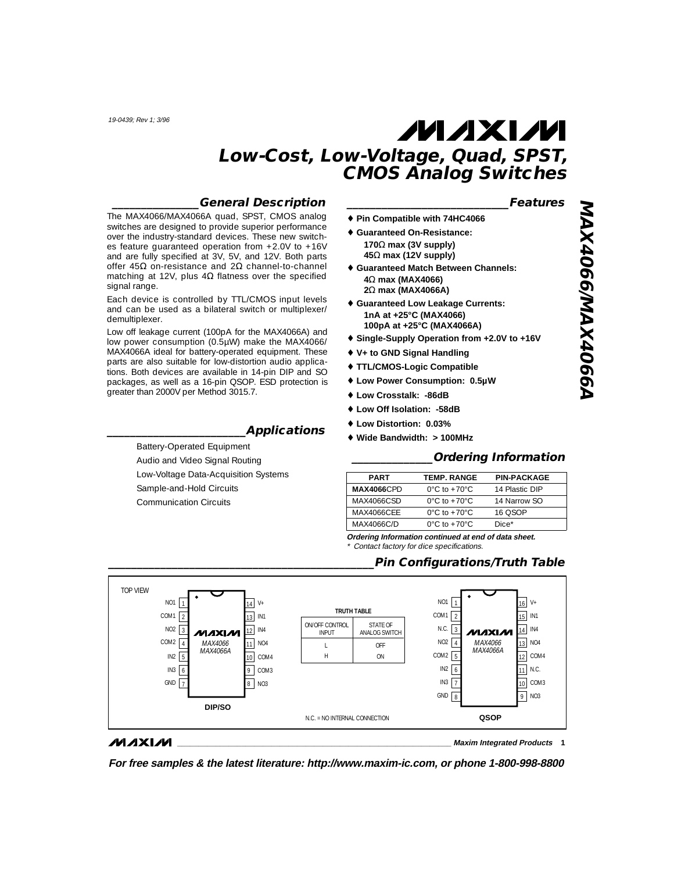#### **\_\_\_\_\_\_\_\_\_\_\_\_\_\_\_General Description**

The MAX4066/MAX4066A quad, SPST, CMOS analog switches are designed to provide superior performance over the industry-standard devices. These new switches feature guaranteed operation from +2.0V to +16V and are fully specified at 3V, 5V, and 12V. Both parts offer 45Ω on-resistance and 2Ω channel-to-channel matching at 12V, plus  $4\Omega$  flatness over the specified signal range.

Each device is controlled by TTL/CMOS input levels and can be used as a bilateral switch or multiplexer/ demultiplexer.

Low off leakage current (100pA for the MAX4066A) and low power consumption (0.5µW) make the MAX4066/ MAX4066A ideal for battery-operated equipment. These parts are also suitable for low-distortion audio applications. Both devices are available in 14-pin DIP and SO packages, as well as a 16-pin QSOP. ESD protection is greater than 2000V per Method 3015.7.

#### **\_\_\_\_\_\_\_\_\_\_\_\_\_\_\_\_\_\_\_\_\_\_\_\_Applications**

Battery-Operated Equipment Audio and Video Signal Routing Low-Voltage Data-Acquisition Systems Sample-and-Hold Circuits Communication Circuits

#### **\_\_\_\_\_\_\_\_\_\_\_\_\_\_\_\_\_\_\_\_\_\_\_\_\_\_\_\_Features**

- ♦ **Pin Compatible with 74HC4066**
- ♦ **Guaranteed On-Resistance: 170**Ω **max (3V supply) 45**Ω **max (12V supply)** ♦ **Guaranteed Match Between Channels:**
- **4**Ω **max (MAX4066) 2**Ω **max (MAX4066A)**
- ♦ **Guaranteed Low Leakage Currents: 1nA at +25°C (MAX4066) 100pA at +25°C (MAX4066A)**
- ♦ **Single-Supply Operation from +2.0V to +16V**
- ♦ **V+ to GND Signal Handling**
- ♦ **TTL/CMOS-Logic Compatible**
- ♦ **Low Power Consumption: 0.5µW**
- ♦ **Low Crosstalk: -86dB**
- ♦ **Low Off Isolation: -58dB**
- ♦ **Low Distortion: 0.03%**
- ♦ **Wide Bandwidth: > 100MHz**

#### **\_\_\_\_\_\_\_\_\_\_\_\_\_\_Ordering Information**

| <b>PART</b>        | <b>TEMP. RANGE</b>               | <b>PIN-PACKAGE</b> |
|--------------------|----------------------------------|--------------------|
| <b>MAX4066</b> CPD | $0^{\circ}$ C to $+70^{\circ}$ C | 14 Plastic DIP     |
| MAX4066CSD         | $0^{\circ}$ C to $+70^{\circ}$ C | 14 Narrow SO       |
| MAX4066CFF         | $0^{\circ}$ C to $+70^{\circ}$ C | 16 OSOP            |
| MAX4066C/D         | $0^{\circ}$ C to $+70^{\circ}$ C | Dice*              |

**Ordering Information continued at end of data sheet.** Contact factory for dice specifications.

#### **\_\_\_\_\_\_\_\_\_\_\_\_\_\_\_\_\_\_\_\_\_\_\_\_\_\_\_\_\_\_\_\_\_\_\_\_\_\_\_\_\_\_\_\_\_\_Pin Configurations/Truth Table**



#### **MAXIM**

**\_\_\_\_\_\_\_\_\_\_\_\_\_\_\_\_\_\_\_\_\_\_\_\_\_\_\_\_\_\_\_\_\_\_\_\_\_\_\_\_\_\_\_\_\_\_\_\_\_\_\_\_\_\_\_\_\_\_\_\_\_\_\_\_ Maxim Integrated Products 1**

**For free samples & the latest literature: http://www.maxim-ic.com, or phone 1-800-998-8800**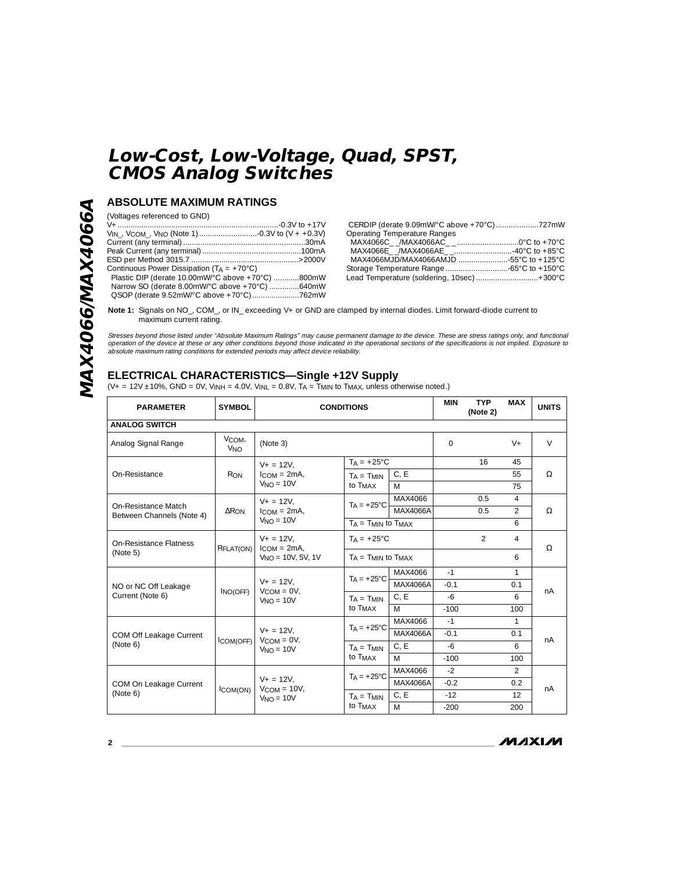### **ABSOLUTE MAXIMUM RATINGS**

(Voltages referenced to GND)

| Continuous Power Dissipation $(T_A = +70^{\circ}C)$ |  |
|-----------------------------------------------------|--|
| Plastic DIP (derate 10.00mW/°C above +70°C) 800mW   |  |
| Narrow SO (derate 8.00mW/°C above +70°C) 640mW      |  |
| QSOP (derate 9.52mW/°C above +70°C)762mW            |  |

| <b>Operating Temperature Ranges</b>          |  |
|----------------------------------------------|--|
|                                              |  |
|                                              |  |
| MAX4066MJD/MAX4066AMJD 55°C to +125°C        |  |
|                                              |  |
| Lead Temperature (soldering, 10sec)  + 300°C |  |
|                                              |  |

**Note 1:** Signals on NO\_, COM\_, or IN\_ exceeding V+ or GND are clamped by internal diodes. Limit forward-diode current to maximum current rating.

Stresses beyond those listed under \*Absolute Maximum Ratings\* may cause permanent damage to the device. These are stress ratings only, and functional<br>operation of the device at these or any other conditions beyond those in

### **ELECTRICAL CHARACTERISTICS—Single +12V Supply**

 $(V_+ = 12V \pm 10\%$ , GND = 0V, V<sub>INH</sub> = 4.0V, V<sub>INL</sub> = 0.8V, T<sub>A</sub> = T<sub>MIN</sub> to T<sub>MAX</sub>, unless otherwise noted.)

| <b>PARAMETER</b>                     | <b>SYMBOL</b>                                                                                                                         | <b>CONDITIONS</b>                  |                              |              | <b>MIN</b> | <b>TYP</b><br>(Note 2) | <b>MAX</b>     | <b>UNITS</b> |  |
|--------------------------------------|---------------------------------------------------------------------------------------------------------------------------------------|------------------------------------|------------------------------|--------------|------------|------------------------|----------------|--------------|--|
| <b>ANALOG SWITCH</b>                 |                                                                                                                                       |                                    |                              |              |            |                        |                |              |  |
| Analog Signal Range                  | VCOM,<br><b>V<sub>NO</sub></b>                                                                                                        | (Note 3)                           |                              |              | $\Omega$   |                        | $V +$          | $\vee$       |  |
|                                      |                                                                                                                                       | $V_+ = 12V$ .                      | $TA = +25^{\circ}C$          |              |            | 16                     | 45             |              |  |
| On-Resistance                        | $R_{ON}$                                                                                                                              | $l_{COM} = 2mA$                    | $TA = TMIN$                  | C, E         |            |                        | 55             | Ω            |  |
|                                      |                                                                                                                                       | $VNO = 10V$                        | to T <sub>MAX</sub>          | M            |            |                        | 75             |              |  |
| On-Resistance Match                  |                                                                                                                                       | $V_{+} = 12V$ ,                    | $T_A = +25^{\circ}C$         | MAX4066      |            | 0.5                    | $\overline{4}$ |              |  |
| Between Channels (Note 4)            | $\Delta R_{ON}$                                                                                                                       | $l_{COM} = 2mA$ .                  |                              | MAX4066A     |            | 0.5                    | 2              | Ω            |  |
|                                      |                                                                                                                                       | $VNO = 10V$                        | $T_A = T_{MIN}$ to $T_{MAX}$ |              |            |                        | 6              |              |  |
| On-Resistance Flatness               | RFLAT(ON)                                                                                                                             | $V_+ = 12V$ ,<br>$l_{COM} = 2mA$   | $T_A = +25^{\circ}C$         |              |            | $\mathcal{P}$          | 4              | $\Omega$     |  |
| (Note 5)                             |                                                                                                                                       | $V_{NO} = 10V, 5V, 1V$             | $TA = TMIN$ to $TMAX$        |              |            |                        | 6              |              |  |
|                                      | MAX4066<br>$TA = +25^{\circ}C$<br>$V_+ = 12V$ ,<br>MAX4066A<br>$V_{COM} = 0V$ ,<br>INO(OFF)<br>C, E<br>$T_A = T_{MIN}$<br>$VNO = 10V$ | $-1$                               |                              | $\mathbf{1}$ |            |                        |                |              |  |
| NO or NC Off Leakage                 |                                                                                                                                       | to T <sub>MAX</sub><br>M           |                              |              | $-0.1$     |                        | 0.1            | nA           |  |
| Current (Note 6)                     |                                                                                                                                       |                                    |                              |              | $-6$       |                        | 6              |              |  |
|                                      |                                                                                                                                       |                                    |                              | $-100$       |            | 100                    |                |              |  |
|                                      |                                                                                                                                       |                                    | $TA = +25^{\circ}C$          | MAX4066      | $-1$       |                        | $\mathbf{1}$   |              |  |
| COM Off Leakage Current<br>ICOM(OFF) |                                                                                                                                       | $V + = 12V,$<br>$V_{COM} = 0V$ ,   |                              | MAX4066A     | $-0.1$     |                        | 0.1            | nA           |  |
| (Note 6)                             | $VNO = 10V$                                                                                                                           | $TA = TMIN$                        | C, E                         | $-6$         |            | 6                      |                |              |  |
|                                      |                                                                                                                                       |                                    | to T <sub>MAX</sub>          | M            | $-100$     |                        | 100            |              |  |
|                                      |                                                                                                                                       |                                    | $TA = +25^{\circ}C$          | MAX4066      | $-2$       |                        | $\mathfrak{D}$ |              |  |
| COM On Leakage Current               | ICOM(ON)                                                                                                                              | $V_+ = 12V$ .<br>$V_{COM} = 10V$ , |                              | MAX4066A     | $-0.2$     |                        | 0.2            | nA           |  |
| (Note 6)                             |                                                                                                                                       | $VNO = 10V$                        | $TA = TMIN$                  | C.E          | $-12$      |                        | 12             |              |  |
|                                      |                                                                                                                                       |                                    | to T <sub>MAX</sub><br>M     |              | $-200$     |                        | 200            |              |  |

 $MMXM$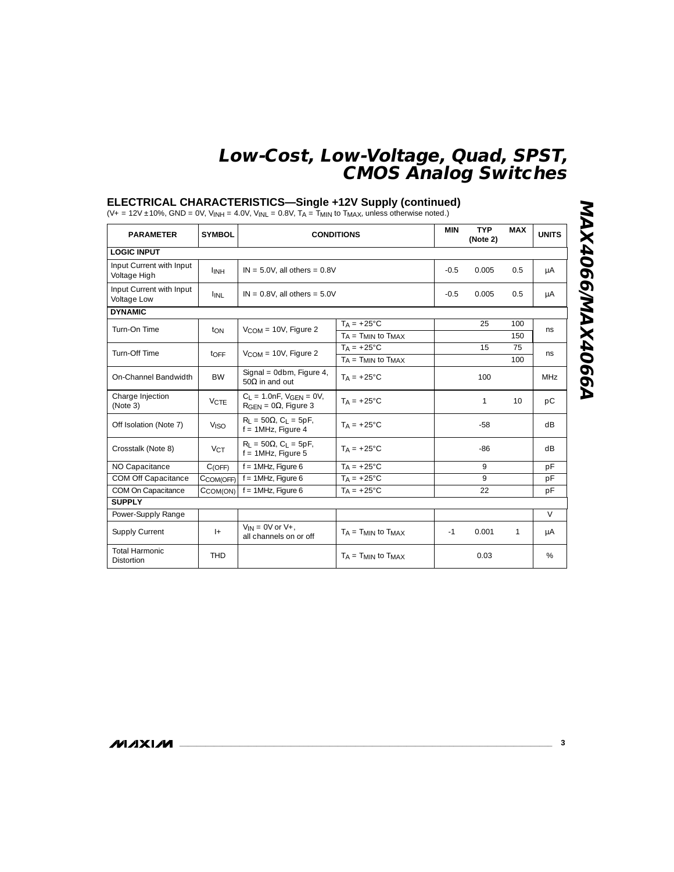#### **ELECTRICAL CHARACTERISTICS—Single +12V Supply (continued)**

(V+ = 12V  $\pm$ 10%, GND = 0V, V<sub>INH</sub> = 4.0V, V<sub>INL</sub> = 0.8V, T<sub>A</sub> = T<sub>MIN</sub> to T<sub>MAX</sub>, unless otherwise noted.)

| <b>PARAMETER</b>                         | <b>SYMBOL</b>          | <b>CONDITIONS</b>                                                         |                              | <b>MIN</b> | <b>TYP</b><br>(Note 2) | <b>MAX</b> | <b>UNITS</b>    |
|------------------------------------------|------------------------|---------------------------------------------------------------------------|------------------------------|------------|------------------------|------------|-----------------|
| <b>LOGIC INPUT</b>                       |                        |                                                                           |                              |            |                        |            |                 |
| Input Current with Input<br>Voltage High | <b>I</b> INH           | $IN = 5.0V$ , all others = $0.8V$                                         |                              | $-0.5$     | 0.005                  | 0.5        | μA              |
| Input Current with Input<br>Voltage Low  | <sup>I</sup> INL       | $IN = 0.8V$ , all others = $5.0V$                                         |                              | $-0.5$     | 0.005                  | 0.5        | μA              |
| <b>DYNAMIC</b>                           |                        |                                                                           |                              |            |                        |            |                 |
| Turn-On Time                             | ton                    | $V_{COM} = 10V$ , Figure 2                                                | $TA = +25^{\circ}C$          |            | 25                     | 100        | ns              |
|                                          |                        |                                                                           | $T_A = T_{MIN}$ to $T_{MAX}$ |            |                        | 150        |                 |
| Turn-Off Time                            | toff                   | $V_{COM} = 10V$ , Figure 2                                                | $TA = +25^{\circ}C$          |            | 15                     | 75         | ns              |
|                                          |                        |                                                                           | $T_A = T_{MIN}$ to $T_{MAX}$ |            |                        | 100        |                 |
| On-Channel Bandwidth                     | <b>BW</b>              | Signal = 0dbm, Figure 4,<br>50 $\Omega$ in and out                        | $Ta = +25^{\circ}C$          |            | 100                    |            | MH <sub>7</sub> |
| Charge Injection<br>(Note 3)             | <b>VCTF</b>            | $C_1 = 1.0nF$ , $V_{GFN} = 0V$ ,<br>$R_{\text{GFN}} = 0\Omega$ , Figure 3 | $TA = +25^{\circ}C$          |            | 1                      | 10         | pC              |
| Off Isolation (Note 7)                   | <b>V<sub>ISO</sub></b> | $R_1 = 50\Omega$ , C <sub>1</sub> = 5pF,<br>$f = 1$ MHz, Figure 4         | $Ta = +25^{\circ}C$          |            | $-58$                  |            | dB              |
| Crosstalk (Note 8)                       | $V_{CT}$               | $R_1 = 50\Omega$ , C <sub>1</sub> = 5pF,<br>$f = 1$ MHz, Figure 5         | $T_A = +25^{\circ}C$         |            | $-86$                  |            | dB              |
| NO Capacitance                           | C(OFF)                 | $f = 1$ MHz, Figure 6                                                     | $TA = +25^{\circ}C$          |            | $\mathsf{Q}$           |            | pF              |
| COM Off Capacitance                      | CCOM(OFF)              | $f = 1$ MHz, Figure 6                                                     | $T_A = +25^{\circ}C$         |            | 9                      |            | pF              |
| COM On Capacitance                       | CCOM(ON)               | $f = 1$ MHz, Figure 6                                                     | $TA = +25^{\circ}C$          |            | 22                     |            | pF              |
| <b>SUPPLY</b>                            |                        |                                                                           |                              |            |                        |            |                 |
| Power-Supply Range                       |                        |                                                                           |                              |            |                        |            | $\vee$          |
| Supply Current                           | $ +$                   | $V_{IN} = OV$ or $V_{+}$ ,<br>all channels on or off                      | $TA = TMIN$ to $TMAX$        | $-1$       | 0.001                  | 1          | μA              |
| <b>Total Harmonic</b><br>Distortion      | <b>THD</b>             |                                                                           | $T_A = T_{MIN}$ to $T_{MAX}$ |            | 0.03                   |            | %               |

**MAX4066/MAX4066A MAX4066/MAX4066A**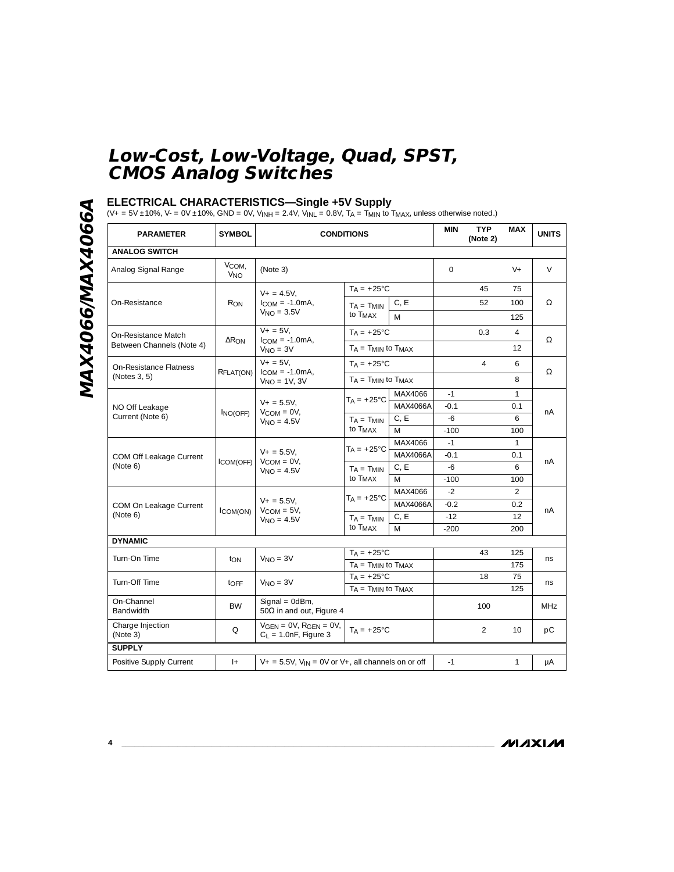# MAX4066/MAX4066A **MAX4066/MAX4066A**

#### **ELECTRICAL CHARACTERISTICS—Single +5V Supply**

(V+ = 5V ±10%, V- = 0V ±10%, GND = 0V, V<sub>INH</sub> = 2.4V, V<sub>INL</sub> = 0.8V, T<sub>A</sub> = T<sub>MIN</sub> to T<sub>MAX</sub>, unless otherwise noted.)

| <b>PARAMETER</b>                   | <b>SYMBOL</b>                       | <b>CONDITIONS</b>                                                             |                                                 | <b>MIN</b> | <b>TYP</b><br>(Note 2) | <b>MAX</b>     | <b>UNITS</b>   |            |
|------------------------------------|-------------------------------------|-------------------------------------------------------------------------------|-------------------------------------------------|------------|------------------------|----------------|----------------|------------|
| <b>ANALOG SWITCH</b>               |                                     |                                                                               |                                                 |            |                        |                |                |            |
| Analog Signal Range                | V <sub>COM</sub><br>V <sub>NO</sub> | (Note 3)                                                                      |                                                 |            | $\Omega$               |                | $V +$          | V          |
|                                    |                                     | $V_+ = 4.5V,$                                                                 | $TA = +25^{\circ}C$                             |            |                        | 45             | 75             |            |
| On-Resistance                      | R <sub>ON</sub>                     | $ICOM = -1.0mA,$                                                              | $T_A = T_{MIN}$                                 | C, E       |                        | 52             | 100            | Ω          |
|                                    |                                     | $VNO = 3.5V$                                                                  | to T <sub>MAX</sub>                             | M          |                        |                | 125            |            |
| On-Resistance Match                |                                     | $V + = 5V$ ,                                                                  | $TA = +25^{\circ}C$                             |            |                        | 0.3            | $\overline{4}$ |            |
| Between Channels (Note 4)          | $\Delta R_{ON}$                     | $l_{COM} = -1.0mA$<br>$VNO = 3V$                                              | $T_A = T_{MIN}$ to $T_{MAX}$                    |            |                        |                | 12             | Ω          |
| On-Resistance Flatness             |                                     | $V + = 5V$ .                                                                  | $TA = +25^{\circ}C$                             |            |                        | $\overline{4}$ | 6              |            |
| (Notes 3, 5)                       | RFLAT(ON)                           | $ICOM = -1.0mA,$<br>$V_{NO} = 1V, 3V$                                         | $T_A = T_{MIN}$ to $T_{MAX}$                    |            |                        |                | 8              | Ω          |
|                                    |                                     |                                                                               |                                                 | MAX4066    | $-1$                   |                | 1              | nA         |
| NO Off Leakage<br>Current (Note 6) | INO(OFF)                            | $V_+ = 5.5V,$<br>$V_{COM} = 0V$ ,<br>$VNO = 4.5V$                             | $T_A = +25^{\circ}C$                            | MAX4066A   | $-0.1$                 |                | 0.1            |            |
|                                    |                                     |                                                                               | C, E<br>$TA = TMIN$<br>to T <sub>MAX</sub><br>M |            | $-6$                   |                | 6              |            |
|                                    |                                     |                                                                               |                                                 | $-100$     |                        | 100            |                |            |
|                                    |                                     |                                                                               | $TA = +25^{\circ}C$                             | MAX4066    | $-1$                   |                | $\mathbf{1}$   |            |
| COM Off Leakage Current            | COM(OFF)                            | $V_+ = 5.5V,$<br>$V_{COM} = 0V$ ,<br>$VNO = 4.5V$                             |                                                 | MAX4066A   | $-0.1$                 |                | 0.1            | nA         |
| (Note 6)                           |                                     |                                                                               | $T_A = T_{MIN}$                                 | C, E       | $-6$                   |                | 6              |            |
|                                    |                                     |                                                                               | to T <sub>MAX</sub>                             | M          | $-100$                 |                | 100            |            |
|                                    |                                     | $V_+ = 5.5V,$<br>$V_{COM} = 5V$ ,<br>$VNO = 4.5V$                             | $TA = +25^{\circ}C$<br>$T_A = T_{MIN}$          | MAX4066    | $-2$                   |                | 2              | nA         |
| COM On Leakage Current             | ICOM(ON)                            |                                                                               |                                                 | MAX4066A   | $-0.2$                 |                | 0.2            |            |
| (Note 6)                           |                                     |                                                                               |                                                 | C, E       | $-12$                  |                | 12             |            |
|                                    |                                     |                                                                               | to T <sub>MAX</sub>                             | M          | $-200$                 |                | 200            |            |
| <b>DYNAMIC</b>                     |                                     |                                                                               |                                                 |            |                        |                |                |            |
| Turn-On Time                       | ton                                 | $VNO = 3V$                                                                    | $TA = +25^{\circ}C$                             |            |                        | 43             | 125            | <b>ns</b>  |
|                                    |                                     |                                                                               | $T_A = T_{MIN}$ to $T_{MAX}$                    |            |                        |                | 175            |            |
| Turn-Off Time                      | toff                                | $VNO = 3V$                                                                    | $T_A = +25^{\circ}$ C                           |            |                        | 18             | 75             | ns         |
|                                    |                                     |                                                                               | $T_A = T_{MIN}$ to $T_{MAX}$                    |            |                        |                | 125            |            |
| On-Channel<br><b>Bandwidth</b>     | <b>BW</b>                           | Signal = $0dBm$ ,<br>50 $\Omega$ in and out, Figure 4                         |                                                 |            |                        | 100            |                | <b>MHz</b> |
| Charge Injection<br>(Note 3)       | $\Omega$                            | $VGEN = OV, RGB = OV,$<br>$C_L = 1.0nF$ , Figure 3                            | $TA = +25^{\circ}C$                             |            |                        | $\overline{2}$ | 10             | рC         |
| <b>SUPPLY</b>                      |                                     |                                                                               |                                                 |            |                        |                |                |            |
| Positive Supply Current            | $ +$                                | $V_+$ = 5.5V, V <sub>IN</sub> = 0V or V <sub>+</sub> , all channels on or off |                                                 | $-1$       |                        | 1              | $\mu A$        |            |

**MAXIM**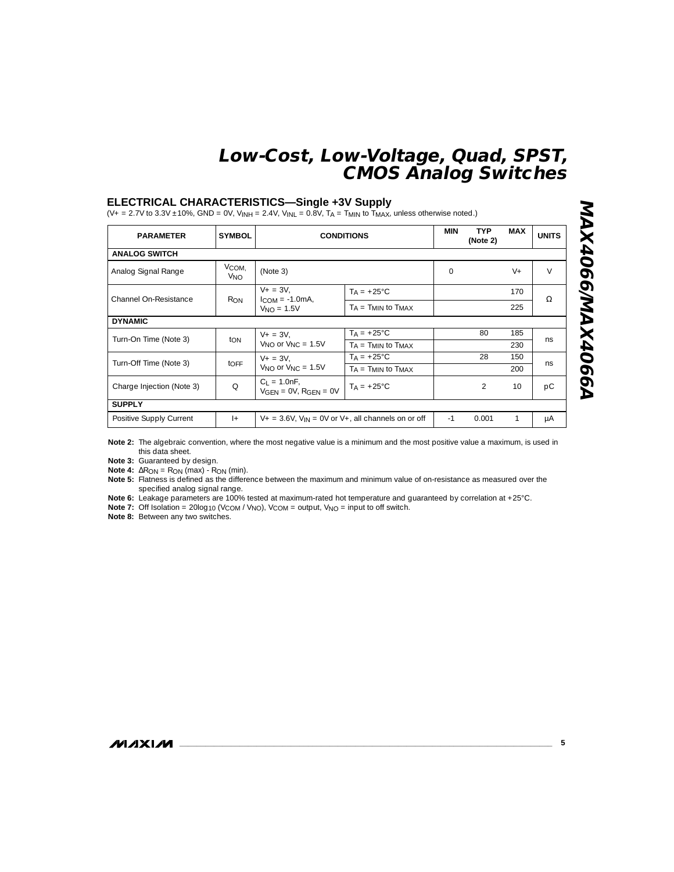#### **ELECTRICAL CHARACTERISTICS—Single +3V Supply**

 $(V_+ = 2.7V \text{ to } 3.3V \pm 10\%$ , GND = 0V,  $V_{INH} = 2.4V$ ,  $V_{INL} = 0.8V$ ,  $T_A = T_{MIN} \text{ to } T_{MAX}$ , unless otherwise noted.)

| <b>PARAMETER</b>          | <b>SYMBOL</b>                             | <b>CONDITIONS</b>                                          |                              | <b>MIN</b> | <b>TYP</b><br>(Note 2) | <b>MAX</b> | <b>UNITS</b> |
|---------------------------|-------------------------------------------|------------------------------------------------------------|------------------------------|------------|------------------------|------------|--------------|
| <b>ANALOG SWITCH</b>      |                                           |                                                            |                              |            |                        |            |              |
| Analog Signal Range       | V <sub>COM</sub><br><b>V<sub>NO</sub></b> | (Note 3)                                                   |                              | 0          |                        | $V +$      | $\vee$       |
|                           |                                           | $V_+ = 3V$ .                                               | $T_A = +25^{\circ}C$         |            |                        | 170        |              |
| Channel On-Resistance     | <b>RON</b>                                | $ICOM = -1.0mA$<br>$VNO = 1.5V$                            | $TA = TMIN$ to $TMAX$        |            |                        | 225        | Ω            |
| <b>DYNAMIC</b>            |                                           |                                                            |                              |            |                        |            |              |
| Turn-On Time (Note 3)     | ton                                       | $V_+ = 3V$ .                                               | $T_A = +25^{\circ}C$         |            | 80                     | 185        | ns           |
|                           |                                           | $V_{\text{NO}}$ or $V_{\text{NC}} = 1.5V$                  | $T_A = T_{MIN}$ to $T_{MAX}$ |            |                        | 230        |              |
| Turn-Off Time (Note 3)    | toff                                      | $V_+ = 3V$ .                                               | $T_A = +25^{\circ}C$         |            | 28                     | 150        | ns           |
|                           |                                           | $V_{NO}$ or $V_{NC} = 1.5V$                                | $TA = TMIN$ to $TMAX$        |            |                        | 200        |              |
| Charge Injection (Note 3) | $\mathsf O$                               | $C_1 = 1.0nF$ ,<br>$V_{GFN} = OV, R_{GFN} = OV$            | $T_A = +25^{\circ}C$         |            | 2                      | 10         | pC           |
| <b>SUPPLY</b>             |                                           |                                                            |                              |            |                        |            |              |
| Positive Supply Current   | $ + $                                     | $V_+$ = 3.6V, $V_{IN}$ = 0V or V +, all channels on or off |                              | $-1$       | 0.001                  | 1          | μA           |

**Note 2:** The algebraic convention, where the most negative value is a minimum and the most positive value a maximum, is used in this data sheet.

**Note 3:** Guaranteed by design.

**Note 4:**  $\Delta R_{ON} = R_{ON}$  (max) -  $R_{ON}$  (min).

**Note 5:** Flatness is defined as the difference between the maximum and minimum value of on-resistance as measured over the specified analog signal range.

**Note 6:** Leakage parameters are 100% tested at maximum-rated hot temperature and guaranteed by correlation at +25°C.

**Note 7:** Off Isolation = 20log<sub>10</sub> (V<sub>COM</sub> / V<sub>NO</sub>), V<sub>COM</sub> = output, V<sub>NO</sub> = input to off switch.

**Note 8:** Between any two switches.

**MAXIM**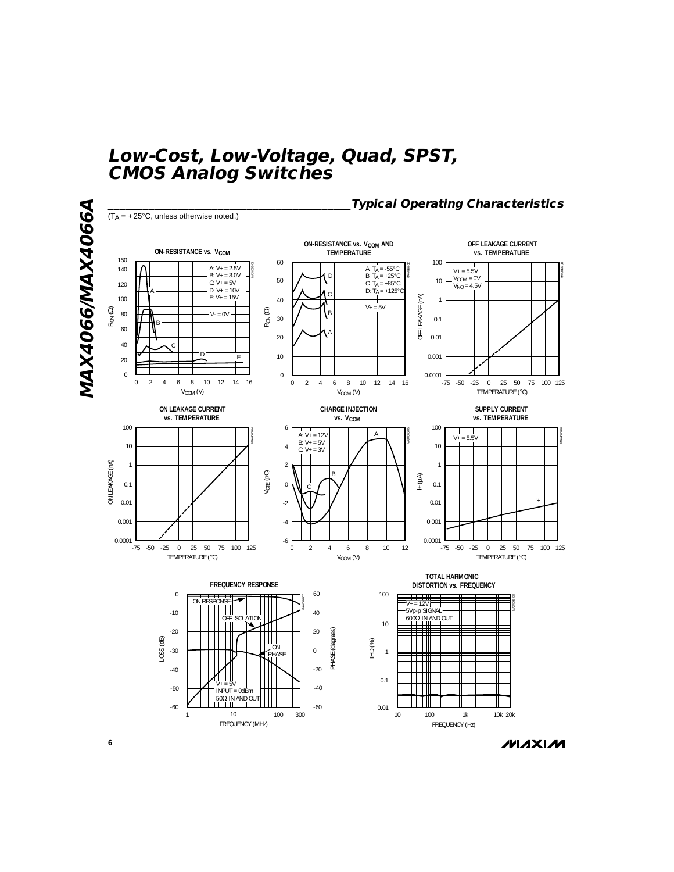

**MAXIM**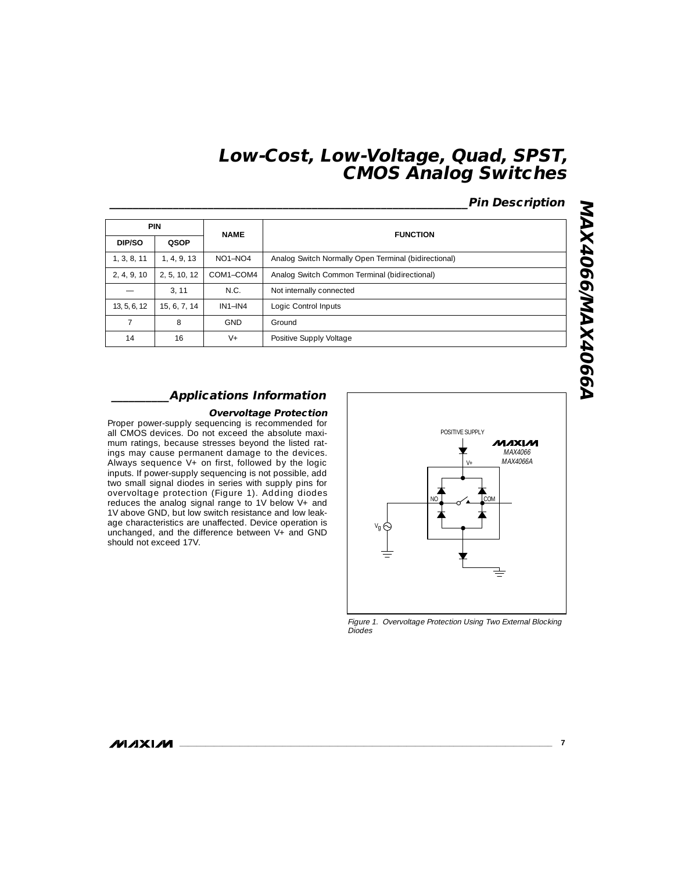## **\_\_\_\_\_\_\_\_\_\_\_\_\_\_\_\_\_\_\_\_\_\_\_\_\_\_\_\_\_\_\_\_\_\_\_\_\_\_\_\_\_\_\_\_\_\_\_\_\_\_\_\_\_\_\_\_\_\_\_\_\_\_Pin Description**

|                | <b>PIN</b>   | <b>NAME</b> | <b>FUNCTION</b>                                      |  |
|----------------|--------------|-------------|------------------------------------------------------|--|
| DIP/SO         | QSOP         |             |                                                      |  |
| 1, 3, 8, 11    | 1, 4, 9, 13  | $NO1-NO4$   | Analog Switch Normally Open Terminal (bidirectional) |  |
| 2, 4, 9, 10    | 2, 5, 10, 12 | COM1-COM4   | Analog Switch Common Terminal (bidirectional)        |  |
|                | 3.11         | N.C.        | Not internally connected                             |  |
| 13, 5, 6, 12   | 15, 6, 7, 14 | $IN1-N4$    | Logic Control Inputs                                 |  |
| $\overline{7}$ | 8            | <b>GND</b>  | Ground                                               |  |
| 14             | 16           | $V +$       | Positive Supply Voltage                              |  |

# **N990tXUVV990tXUVV MAX4066/MAX4066A**

#### **\_\_\_\_\_\_\_\_\_\_Applications Information**

#### **Overvoltage Protection**

Proper power-supply sequencing is recommended for all CMOS devices. Do not exceed the absolute maximum ratings, because stresses beyond the listed ratings may cause permanent damage to the devices. Always sequence V+ on first, followed by the logic inputs. If power-supply sequencing is not possible, add two small signal diodes in series with supply pins for overvoltage protection (Figure 1). Adding diodes reduces the analog signal range to 1V below V+ and 1V above GND, but low switch resistance and low leakage characteristics are unaffected. Device operation is unchanged, and the difference between V+ and GND should not exceed 17V.



Figure 1. Overvoltage Protection Using Two External Blocking Diodes

#### **MAXIM**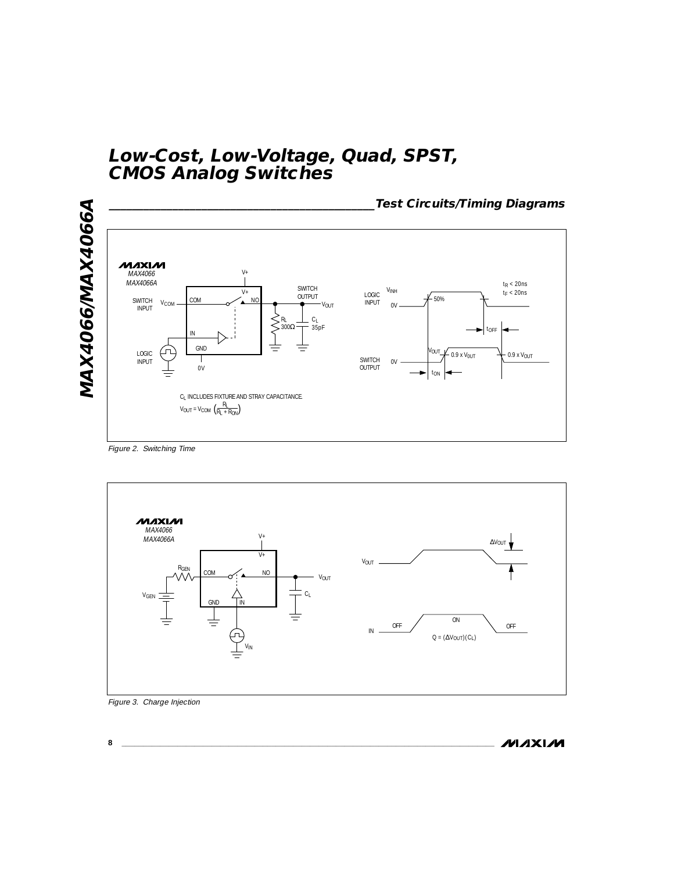

Figure 2. Switching Time



Figure 3. Charge Injection

**MAXIM**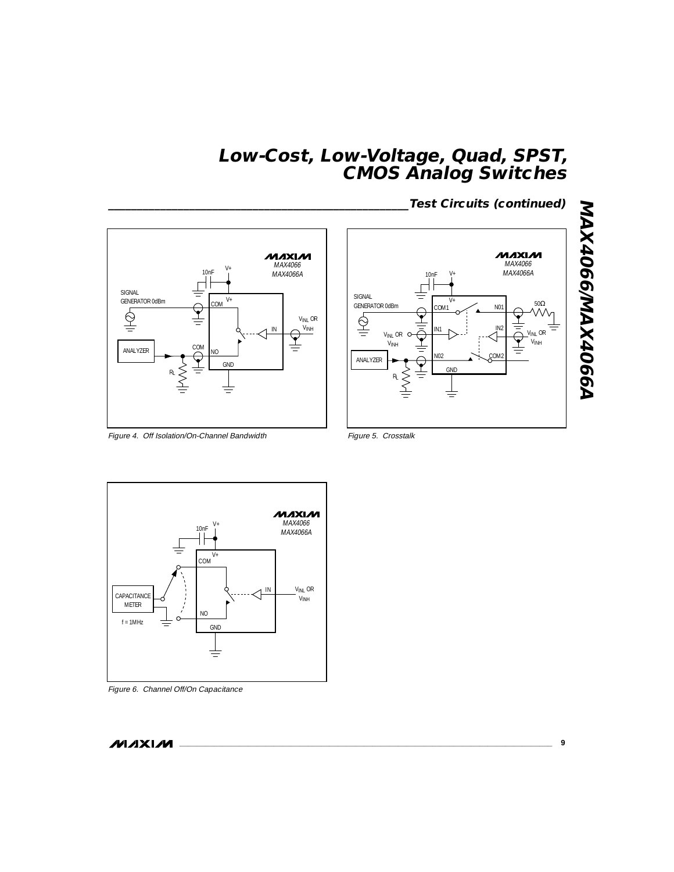**MAXIM** MAX4066  $V_{+}$  10nF MAX4066A SIGNAL V+ GENERATOR 0dBm COM  $\frac{Q}{\equiv}$  $rac{Q}{T}$ VINL OR  $\ensuremath{\mathsf{V}}_{\mathsf{INH}}$ IN COM  $R_L \geqslant \frac{1}{100}$ GND Ş RL ≡



Figure 4. Off Isolation/On-Channel Bandwidth

Figure 5. Crosstalk



Figure 6. Channel Off/On Capacitance

**MAXIM**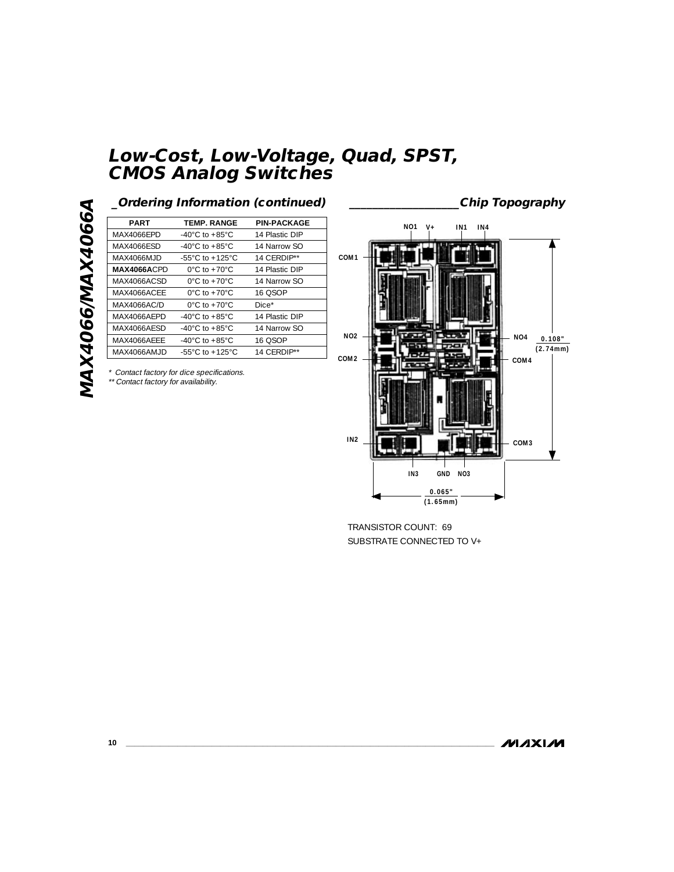MAX4066/MAX4066A **MAX4066/MAX4066A**

| <b>PART</b> | <b>TEMP. RANGE</b>                    | <b>PIN-PACKAGE</b> |
|-------------|---------------------------------------|--------------------|
| MAX4066EPD  | -40°C to +85°C                        | 14 Plastic DIP     |
| MAX4066ESD  | -40°C to +85°C                        | 14 Narrow SO       |
| MAX4066MJD  | -55 $^{\circ}$ C to +125 $^{\circ}$ C | 14 CERDIP**        |
| MAX4066ACPD | $0^{\circ}$ C to +70 $^{\circ}$ C     | 14 Plastic DIP     |
| MAX4066ACSD | $0^{\circ}$ C to +70 $^{\circ}$ C     | 14 Narrow SO       |
| MAX4066ACFF | $0^{\circ}$ C to +70 $^{\circ}$ C     | 16 OSOP            |
| MAX4066AC/D | $0^{\circ}$ C to +70 $^{\circ}$ C     | Dice*              |
| MAX4066AFPD | -40°C to +85°C                        | 14 Plastic DIP     |
| MAX4066AESD | -40°C to +85°C                        | 14 Narrow SO       |
| MAX4066AFFF | -40°C to +85°C                        | 16 OSOP            |
| MAX4066AMJD | -55 $^{\circ}$ C to +125 $^{\circ}$ C | 14 CERDIP**        |

\* Contact factory for dice specifications.

\*\* Contact factory for availability.



TRANSISTOR COUNT: 69 SUBSTRATE CONNECTED TO V+

**MAXIM**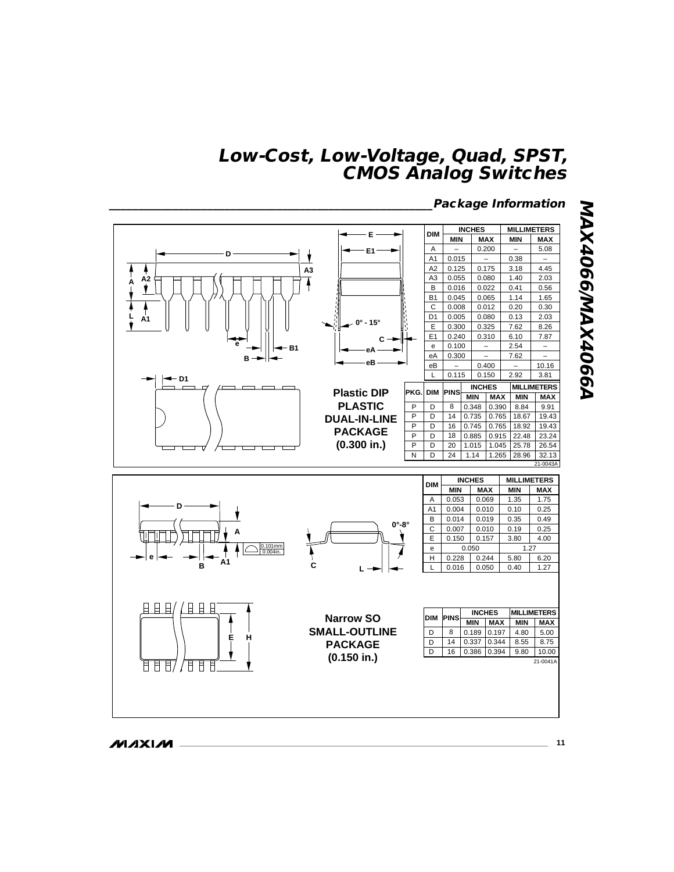

**MAXIM** 

**NAX4066/MAX4066A MAX4066/MAX4066A**